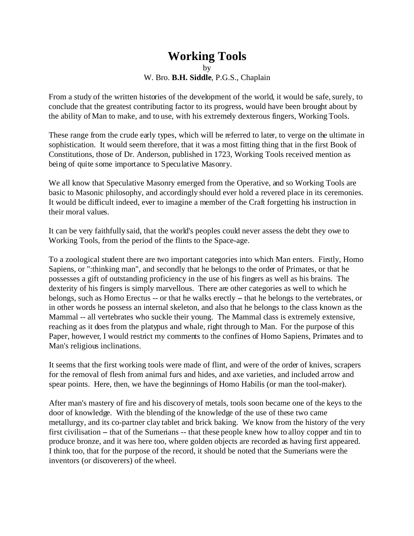## **Working Tools**

by W. Bro. **B.H. Siddle**, P.G.S., Chaplain

From a study of the written histories of the development of the world, it would be safe, surely, to conclude that the greatest contributing factor to its progress, would have been brought about by the ability of Man to make, and to use, with his extremely dexterous fingers, Working Tools.

These range from the crude early types, which will be referred to later, to verge on the ultimate in sophistication. It would seem therefore, that it was a most fitting thing that in the first Book of Constitutions, those of Dr. Anderson, published in 1723, Working Tools received mention as being of quite some importance to Speculative Masonry.

We all know that Speculative Masonry emerged from the Operative, and so Working Tools are basic to Masonic philosophy, and accordingly should ever hold a revered place in its ceremonies. It would be difficult indeed, ever to imagine a member of the Craft forgetting his instruction in their moral values.

It can be very faithfully said, that the world's peoples could never assess the debt they owe to Working Tools, from the period of the flints to the Space-age.

To a zoological student there are two important categories into which Man enters. Firstly, Homo Sapiens, or ":thinking man", and secondly that he belongs to the order of Primates, or that he possesses a gift of outstanding proficiency in the use of his fingers as well as his brains. The dexterity of his fingers is simply marvellous. There are other categories as well to which he belongs, such as Homo Erectus -- or that he walks erectly -- that he belongs to the vertebrates, or in other words he possess an internal skeleton, and also that he belongs to the class known as the Mammal -- all vertebrates who suckle their young. The Mammal class is extremely extensive, reaching as it does from the platypus and whale, right through to Man. For the purpose of this Paper, however, I would restrict my comments to the confines of Homo Sapiens, Primates and to Man's religious inclinations.

It seems that the first working tools were made of flint, and were of the order of knives, scrapers for the removal of flesh from animal furs and hides, and axe varieties, and included arrow and spear points. Here, then, we have the beginnings of Homo Habilis (or man the tool-maker).

After man's mastery of fire and his discovery of metals, tools soon became one of the keys to the door of knowledge. With the blending of the knowledge of the use of these two came metallurgy, and its co-partner clay tablet and brick baking. We know from the history of the very first civilisation – that of the Sumerians -- that these people knew how to alloy copper and tin to produce bronze, and it was here too, where golden objects are recorded as having first appeared. I think too, that for the purpose of the record, it should be noted that the Sumerians were the inventors (or discoverers) of the wheel.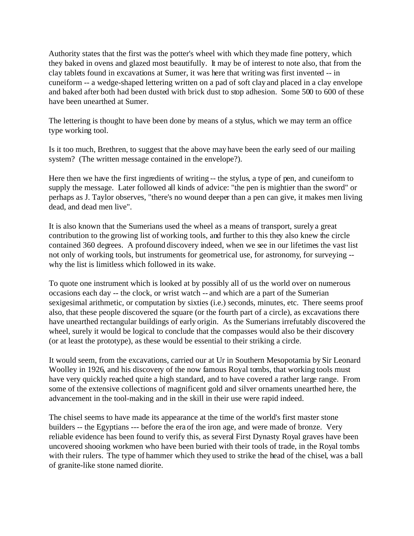Authority states that the first was the potter's wheel with which they made fine pottery, which they baked in ovens and glazed most beautifully. It may be of interest to note also, that from the clay tablets found in excavations at Sumer, it was here that writing was first invented -- in cuneiform -- a wedge-shaped lettering written on a pad of soft clay and placed in a clay envelope and baked after both had been dusted with brick dust to stop adhesion. Some 500 to 600 of these have been unearthed at Sumer.

The lettering is thought to have been done by means of a stylus, which we may term an office type working tool.

Is it too much, Brethren, to suggest that the above may have been the early seed of our mailing system? (The written message contained in the envelope?).

Here then we have the first ingredients of writing -- the stylus, a type of pen, and cuneiform to supply the message. Later followed all kinds of advice: "the pen is mightier than the sword" or perhaps as J. Taylor observes, "there's no wound deeper than a pen can give, it makes men living dead, and dead men live".

It is also known that the Sumerians used the wheel as a means of transport, surely a great contribution to the growing list of working tools, and further to this they also knew the circle contained 360 degrees. A profound discovery indeed, when we see in our lifetimes the vast list not only of working tools, but instruments for geometrical use, for astronomy, for surveying - why the list is limitless which followed in its wake.

To quote one instrument which is looked at by possibly all of us the world over on numerous occasions each day -- the clock, or wrist watch -- and which are a part of the Sumerian sexigesimal arithmetic, or computation by sixties (i.e.) seconds, minutes, etc. There seems proof also, that these people discovered the square (or the fourth part of a circle), as excavations there have unearthed rectangular buildings of early origin. As the Sumerians irrefutably discovered the wheel, surely it would be logical to conclude that the compasses would also be their discovery (or at least the prototype), as these would be essential to their striking a circle.

It would seem, from the excavations, carried our at Ur in Southern Mesopotamia by Sir Leonard Woolley in 1926, and his discovery of the now famous Royal tombs, that working tools must have very quickly reached quite a high standard, and to have covered a rather large range. From some of the extensive collections of magnificent gold and silver ornaments unearthed here, the advancement in the tool-making and in the skill in their use were rapid indeed.

The chisel seems to have made its appearance at the time of the world's first master stone builders -- the Egyptians --- before the era of the iron age, and were made of bronze. Very reliable evidence has been found to verify this, as several First Dynasty Royal graves have been uncovered shooing workmen who have been buried with their tools of trade, in the Royal tombs with their rulers. The type of hammer which they used to strike the head of the chisel, was a ball of granite-like stone named diorite.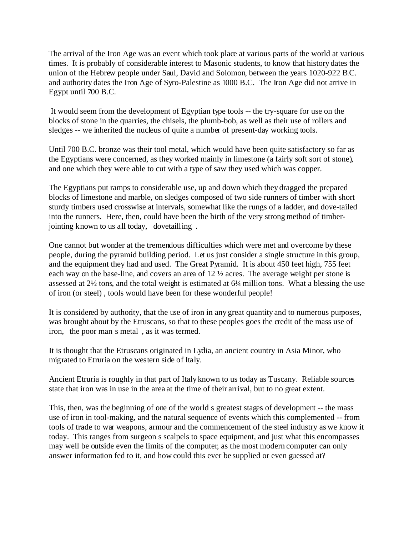The arrival of the Iron Age was an event which took place at various parts of the world at various times. It is probably of considerable interest to Masonic students, to know that history dates the union of the Hebrew people under Saul, David and Solomon, between the years 1020-922 B.C. and authority dates the Iron Age of Syro-Palestine as 1000 B.C. The Iron Age did not arrive in Egypt until 700 B.C.

 It would seem from the development of Egyptian type tools -- the try-square for use on the blocks of stone in the quarries, the chisels, the plumb-bob, as well as their use of rollers and sledges -- we inherited the nucleus of quite a number of present-day working tools.

Until 700 B.C. bronze was their tool metal, which would have been quite satisfactory so far as the Egyptians were concerned, as they worked mainly in limestone (a fairly soft sort of stone), and one which they were able to cut with a type of saw they used which was copper.

The Egyptians put ramps to considerable use, up and down which they dragged the prepared blocks of limestone and marble, on sledges composed of two side runners of timber with short sturdy timbers used crosswise at intervals, somewhat like the rungs of a ladder, and dove-tailed into the runners. Here, then, could have been the birth of the very strong method of timberjointing known to us all today, dovetailling .

One cannot but wonder at the tremendous difficulties which were met and overcome by these people, during the pyramid building period. Let us just consider a single structure in this group, and the equipment they had and used. The Great Pyramid. It is about 450 feet high, 755 feet each way on the base-line, and covers an area of 12 ½ acres. The average weight per stone is assessed at 2½ tons, and the total weight is estimated at 6¼ million tons. What a blessing the use of iron (or steel) , tools would have been for these wonderful people!

It is considered by authority, that the use of iron in any great quantity and to numerous purposes, was brought about by the Etruscans, so that to these peoples goes the credit of the mass use of iron, the poor man s metal , as it was termed.

It is thought that the Etruscans originated in Lydia, an ancient country in Asia Minor, who migrated to Etruria on the western side of Italy.

Ancient Etruria is roughly in that part of Italy known to us today as Tuscany. Reliable sources state that iron was in use in the area at the time of their arrival, but to no great extent.

This, then, was the beginning of one of the world s greatest stages of development -- the mass use of iron in tool-making, and the natural sequence of events which this complemented -- from tools of trade to war weapons, armour and the commencement of the steel industry as we know it today. This ranges from surgeon s scalpels to space equipment, and just what this encompasses may well be outside even the limits of the computer, as the most modern computer can only answer information fed to it, and how could this ever be supplied or even guessed at?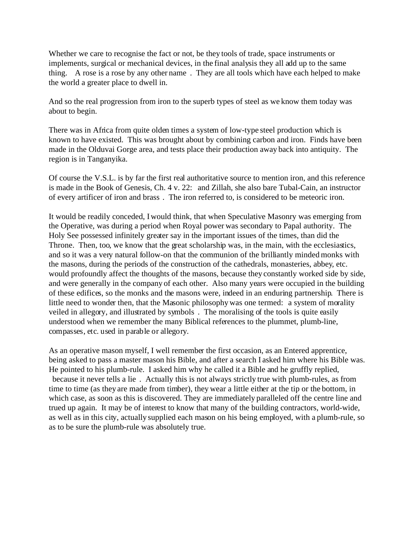Whether we care to recognise the fact or not, be they tools of trade, space instruments or implements, surgical or mechanical devices, in the final analysis they all add up to the same thing. A rose is a rose by any other name . They are all tools which have each helped to make the world a greater place to dwell in.

And so the real progression from iron to the superb types of steel as we know them today was about to begin.

There was in Africa from quite olden times a system of low-type steel production which is known to have existed. This was brought about by combining carbon and iron. Finds have been made in the Olduvai Gorge area, and tests place their production away back into antiquity. The region is in Tanganyika.

Of course the V.S.L. is by far the first real authoritative source to mention iron, and this reference is made in the Book of Genesis, Ch. 4 v. 22: and Zillah, she also bare Tubal-Cain, an instructor of every artificer of iron and brass . The iron referred to, is considered to be meteoric iron.

It would be readily conceded, I would think, that when Speculative Masonry was emerging from the Operative, was during a period when Royal power was secondary to Papal authority. The Holy See possessed infinitely greater say in the important issues of the times, than did the Throne. Then, too, we know that the great scholarship was, in the main, with the ecclesiastics, and so it was a very natural follow-on that the communion of the brilliantly minded monks with the masons, during the periods of the construction of the cathedrals, monasteries, abbey, etc. would profoundly affect the thoughts of the masons, because they constantly worked side by side, and were generally in the company of each other. Also many years were occupied in the building of these edifices, so the monks and the masons were, indeed in an enduring partnership. There is little need to wonder then, that the Masonic philosophy was one termed: a system of morality veiled in allegory, and illustrated by symbols . The moralising of the tools is quite easily understood when we remember the many Biblical references to the plummet, plumb-line, compasses, etc. used in parable or allegory.

As an operative mason myself, I well remember the first occasion, as an Entered apprentice, being asked to pass a master mason his Bible, and after a search I asked him where his Bible was. He pointed to his plumb-rule. I asked him why he called it a Bible and he gruffly replied, because it never tells a lie . Actually this is not always strictly true with plumb-rules, as from time to time (as they are made from timber), they wear a little either at the tip or the bottom, in which case, as soon as this is discovered. They are immediately paralleled off the centre line and trued up again. It may be of interest to know that many of the building contractors, world-wide, as well as in this city, actually supplied each mason on his being employed, with a plumb-rule, so as to be sure the plumb-rule was absolutely true.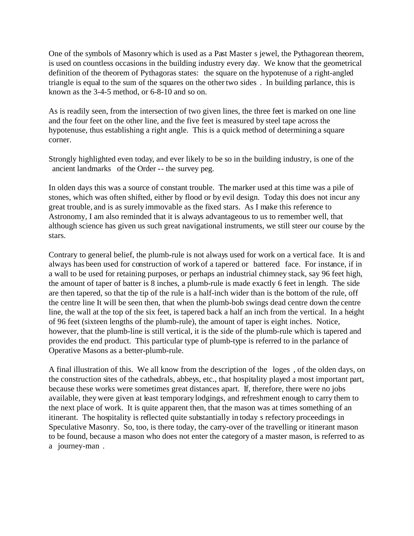One of the symbols of Masonry which is used as a Past Master s jewel, the Pythagorean theorem, is used on countless occasions in the building industry every day. We know that the geometrical definition of the theorem of Pythagoras states: the square on the hypotenuse of a right-angled triangle is equal to the sum of the squares on the other two sides . In building parlance, this is known as the 3-4-5 method, or 6-8-10 and so on.

As is readily seen, from the intersection of two given lines, the three feet is marked on one line and the four feet on the other line, and the five feet is measured by steel tape across the hypotenuse, thus establishing a right angle. This is a quick method of determining a square corner.

Strongly highlighted even today, and ever likely to be so in the building industry, is one of the ancient landmarks of the Order -- the survey peg.

In olden days this was a source of constant trouble. The marker used at this time was a pile of stones, which was often shifted, either by flood or by evil design. Today this does not incur any great trouble, and is as surely immovable as the fixed stars. As I make this reference to Astronomy, I am also reminded that it is always advantageous to us to remember well, that although science has given us such great navigational instruments, we still steer our course by the stars.

Contrary to general belief, the plumb-rule is not always used for work on a vertical face. It is and always has been used for construction of work of a tapered or battered face. For instance, if in a wall to be used for retaining purposes, or perhaps an industrial chimney stack, say 96 feet high, the amount of taper of batter is 8 inches, a plumb-rule is made exactly 6 feet in length. The side are then tapered, so that the tip of the rule is a half-inch wider than is the bottom of the rule, off the centre line It will be seen then, that when the plumb-bob swings dead centre down the centre line, the wall at the top of the six feet, is tapered back a half an inch from the vertical. In a height of 96 feet (sixteen lengths of the plumb-rule), the amount of taper is eight inches. Notice, however, that the plumb-line is still vertical, it is the side of the plumb-rule which is tapered and provides the end product. This particular type of plumb-type is referred to in the parlance of Operative Masons as a better-plumb-rule.

A final illustration of this. We all know from the description of the loges , of the olden days, on the construction sites of the cathedrals, abbeys, etc., that hospitality played a most important part, because these works were sometimes great distances apart. If, therefore, there were no jobs available, they were given at least temporary lodgings, and refreshment enough to carry them to the next place of work. It is quite apparent then, that the mason was at times something of an itinerant. The hospitality is reflected quite substantially in today s refectory proceedings in Speculative Masonry. So, too, is there today, the carry-over of the travelling or itinerant mason to be found, because a mason who does not enter the category of a master mason, is referred to as a journey-man.